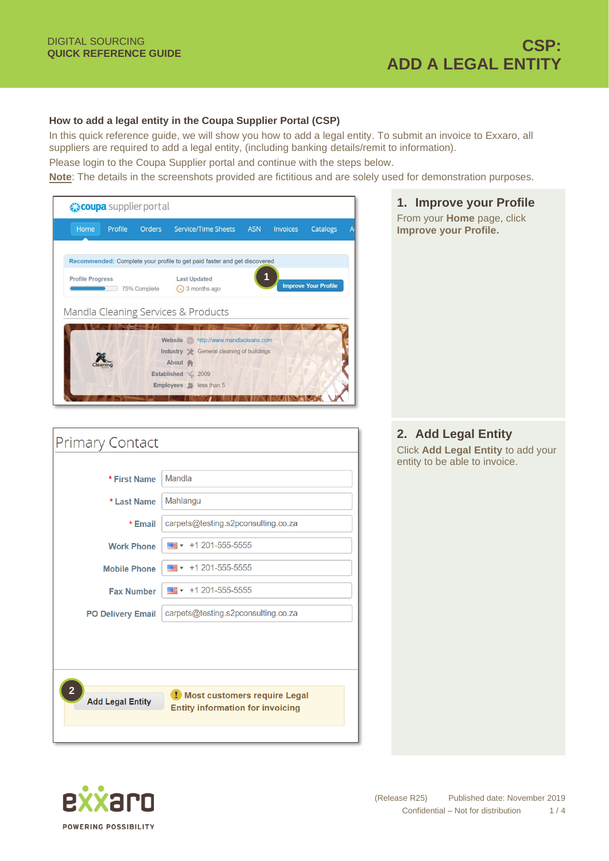## **How to add a legal entity in the Coupa Supplier Portal (CSP)**

In this quick reference guide, we will show you how to add a legal entity. To submit an invoice to Exxaro, all suppliers are required to add a legal entity, (including banking details/remit to information).

Please login to the Coupa Supplier portal and continue with the steps below.

**Note**: The details in the screenshots provided are fictitious and are solely used for demonstration purposes.



| <b>Primary Contact</b>                  |                                                                           |  |  |  |  |
|-----------------------------------------|---------------------------------------------------------------------------|--|--|--|--|
|                                         |                                                                           |  |  |  |  |
| * First Name                            | Mandla                                                                    |  |  |  |  |
| * Last Name                             | Mahlangu                                                                  |  |  |  |  |
| * Email                                 | carpets@testing.s2pconsulting.co.za                                       |  |  |  |  |
| <b>Work Phone</b>                       | $\frac{1}{2}$ + 1 201-555-5555                                            |  |  |  |  |
| <b>Mobile Phone</b>                     | $\overline{m}$ + 1 201-555-5555                                           |  |  |  |  |
| <b>Fax Number</b>                       | $\frac{1}{2}$ + 1 201-555-5555                                            |  |  |  |  |
| <b>PO Delivery Email</b>                | carpets@testing.s2pconsulting.co.za                                       |  |  |  |  |
|                                         |                                                                           |  |  |  |  |
|                                         |                                                                           |  |  |  |  |
| $\mathbf{2}$<br><b>Add Legal Entity</b> | ! Most customers require Legal<br><b>Entity information for invoicing</b> |  |  |  |  |



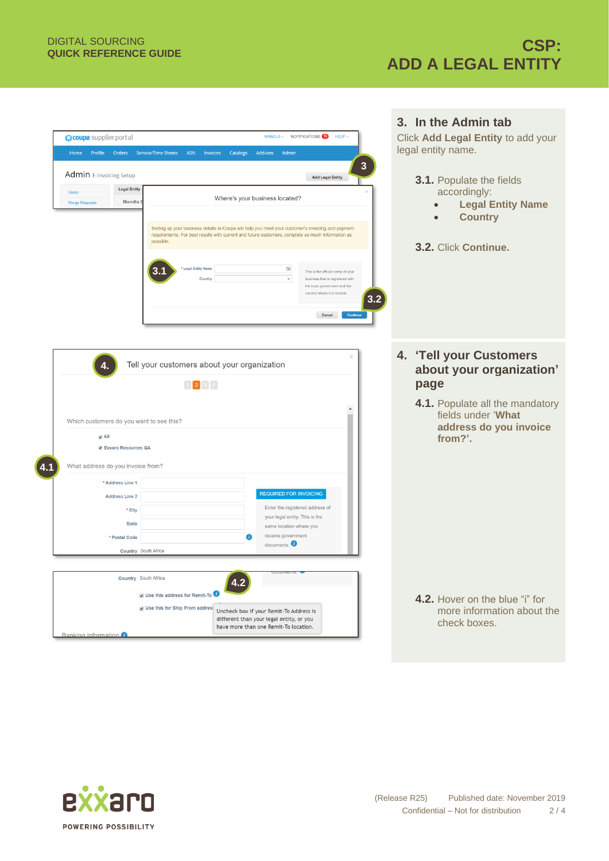|                                                                                                                                                                                                         | 3. In the Admin tab                |
|---------------------------------------------------------------------------------------------------------------------------------------------------------------------------------------------------------|------------------------------------|
| $MANDLA \times$   NOTIFICATIONS $\Box$ HELP $\vee$<br>« coupa supplier portal                                                                                                                           | Click Add Legal Entity to add your |
| <b>ASN</b><br>Profile<br>Orders<br>Service/Time Sheets<br>Invoices<br>Catalogs<br>Add-ons<br>Admin<br>Home                                                                                              | legal entity name.                 |
| $\overline{\mathbf{3}}$                                                                                                                                                                                 |                                    |
| <b>Admin</b> E-Invoicing Setup<br><b>Add Legal Entity</b>                                                                                                                                               | 3.1. Populate the fields           |
| <b>Legal Entity</b><br><b>Users</b>                                                                                                                                                                     | accordingly:                       |
| Where's your business located?<br>Mandla<br>Merge Requests                                                                                                                                              | <b>Legal Entity Name</b>           |
|                                                                                                                                                                                                         | <b>Country</b>                     |
| Setting up your business details in Coupa will help you meet your customer's invoicing and payment<br>requirements. For best results with current and future customers, complete as much information as |                                    |
| possible.                                                                                                                                                                                               | 3.2. Click Continue.               |
|                                                                                                                                                                                                         |                                    |
| Legal Entity Name<br>$\boxplus$<br>This is the official name of your                                                                                                                                    |                                    |
| $\checkmark$<br>Country<br>business that is registered with<br>the local covernment and the                                                                                                             |                                    |
| try where it is located.<br>3.2                                                                                                                                                                         |                                    |
| Cancel  <br>Continue                                                                                                                                                                                    |                                    |
|                                                                                                                                                                                                         |                                    |
|                                                                                                                                                                                                         |                                    |
|                                                                                                                                                                                                         |                                    |
| Tell your customers about your organization<br>4.                                                                                                                                                       | 4. 'Tell your Customers            |
|                                                                                                                                                                                                         | about your organization'           |
| $\begin{bmatrix} 2 & 3 & 4 \end{bmatrix}$                                                                                                                                                               | page                               |
|                                                                                                                                                                                                         | 4.1. Populate all the mandatory    |
| Which customers do you want to see this?                                                                                                                                                                | fields under 'What                 |
|                                                                                                                                                                                                         | address do you invoice             |
| $\Box$ All<br><b>Z</b> Exxaro Resources QA                                                                                                                                                              | from?'.                            |
|                                                                                                                                                                                                         |                                    |
| What address do you invoice from?                                                                                                                                                                       |                                    |
| * Address Line 1                                                                                                                                                                                        |                                    |
| <b>REQUIRED FOR INVOICING</b><br><b>Address Line 2</b>                                                                                                                                                  |                                    |
| Enter the registered address of<br>* City                                                                                                                                                               |                                    |
| your legal entity. This is the<br><b>State</b><br>same location where you                                                                                                                               |                                    |
| receive government<br>n<br>* Postal Code                                                                                                                                                                |                                    |
| documents. $\bullet$<br>Country South Africa                                                                                                                                                            |                                    |
|                                                                                                                                                                                                         |                                    |
| Country South Africa                                                                                                                                                                                    |                                    |
| 4.2                                                                                                                                                                                                     |                                    |
| Use this address for Remit-To                                                                                                                                                                           | 4.2. Hover on the blue "i" for     |
| Use this for Ship From addres:<br>Uncheck box if your Remit-To Address is<br>different than your legal entity, or you                                                                                   | more information about the         |
| have more than one Remit-To location.                                                                                                                                                                   | check boxes.                       |
| Banking information                                                                                                                                                                                     |                                    |



**4.1**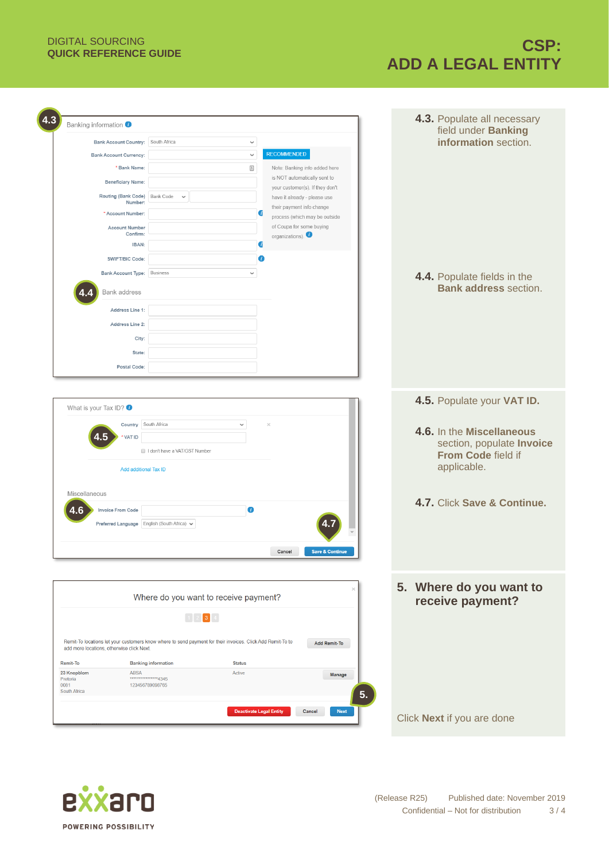## DIGITAL SOURCING

## **QUICK REFERENCE GUIDE CSP: ADD A LEGAL ENTITY**

| Banking information<br>Bank Account Country: South Africa<br><b>Bank Account Currency:</b><br>* Bank Name:<br><b>Beneficiary Name:</b><br>Routing (Bank Code) Bank Code<br>Number:<br>* Account Number:<br><b>Account Number</b><br>Confirm:<br>IBAN:<br>SWIFT/BIC Code:<br>Bank Account Type:   Business<br><b>Bank address</b> | ✓<br>$\checkmark$<br>$\triangleq$<br>$\checkmark$<br>$\checkmark$                                                                                                                                                                                                                                                                                                    | <b>RECOMMENDED</b><br>Note: Banking info added here<br>is NOT automatically sent to<br>your customer(s). If they don't<br>have it already - please use<br>their payment info change<br>a<br>process (which may be outside<br>of Coupa for some buying<br>organizations).<br>đ<br>п | field under Banking<br>information section.<br>4.4. Populate fields in the<br><b>Bank address section.</b>                                               |
|----------------------------------------------------------------------------------------------------------------------------------------------------------------------------------------------------------------------------------------------------------------------------------------------------------------------------------|----------------------------------------------------------------------------------------------------------------------------------------------------------------------------------------------------------------------------------------------------------------------------------------------------------------------------------------------------------------------|------------------------------------------------------------------------------------------------------------------------------------------------------------------------------------------------------------------------------------------------------------------------------------|----------------------------------------------------------------------------------------------------------------------------------------------------------|
| Address Line 1:<br>Address Line 2:<br>City:<br>State:<br>Postal Code:                                                                                                                                                                                                                                                            |                                                                                                                                                                                                                                                                                                                                                                      |                                                                                                                                                                                                                                                                                    |                                                                                                                                                          |
| What is your Tax ID? $\bullet$<br>Country South Africa<br><b>VAT ID</b><br>Add additional Tax ID<br>Miscellaneous<br><b>Invoice From Code</b><br>.6<br>Preferred Language   English (South Africa) $\backsim$                                                                                                                    | $\checkmark$<br>I don't have a VAT/GST Number<br>0                                                                                                                                                                                                                                                                                                                   | $\times$<br>Cancel<br>Save & Continue                                                                                                                                                                                                                                              | 4.5. Populate your VAT ID.<br>4.6. In the Miscellaneous<br>section, populate Invoice<br>From Code field if<br>applicable.<br>4.7. Click Save & Continue. |
| add more locations, otherwise click Next.<br><b>Remit-To</b><br><b>ABSA</b><br>23 Knopblom<br>Pretoria<br>0081<br>South Africa                                                                                                                                                                                                   | Where do you want to receive payment?<br>$\begin{bmatrix} 1 \end{bmatrix}$ 2 $\begin{bmatrix} 3 \end{bmatrix}$ 4 $\begin{bmatrix} 4 \end{bmatrix}$<br>Remit-To locations let your customers know where to send payment for their invoices. Click Add Remit-To to<br><b>Banking information</b><br><b>Status</b><br>Active<br>****************4345<br>123456789098765 | <b>Add Remit-To</b><br>Manage<br>5.                                                                                                                                                                                                                                                | 5. Where do you want to<br>receive payment?                                                                                                              |
|                                                                                                                                                                                                                                                                                                                                  | <b>Deactivate Legal Entity</b>                                                                                                                                                                                                                                                                                                                                       | Cancel<br><b>Next</b>                                                                                                                                                                                                                                                              | Click Next if you are done                                                                                                                               |